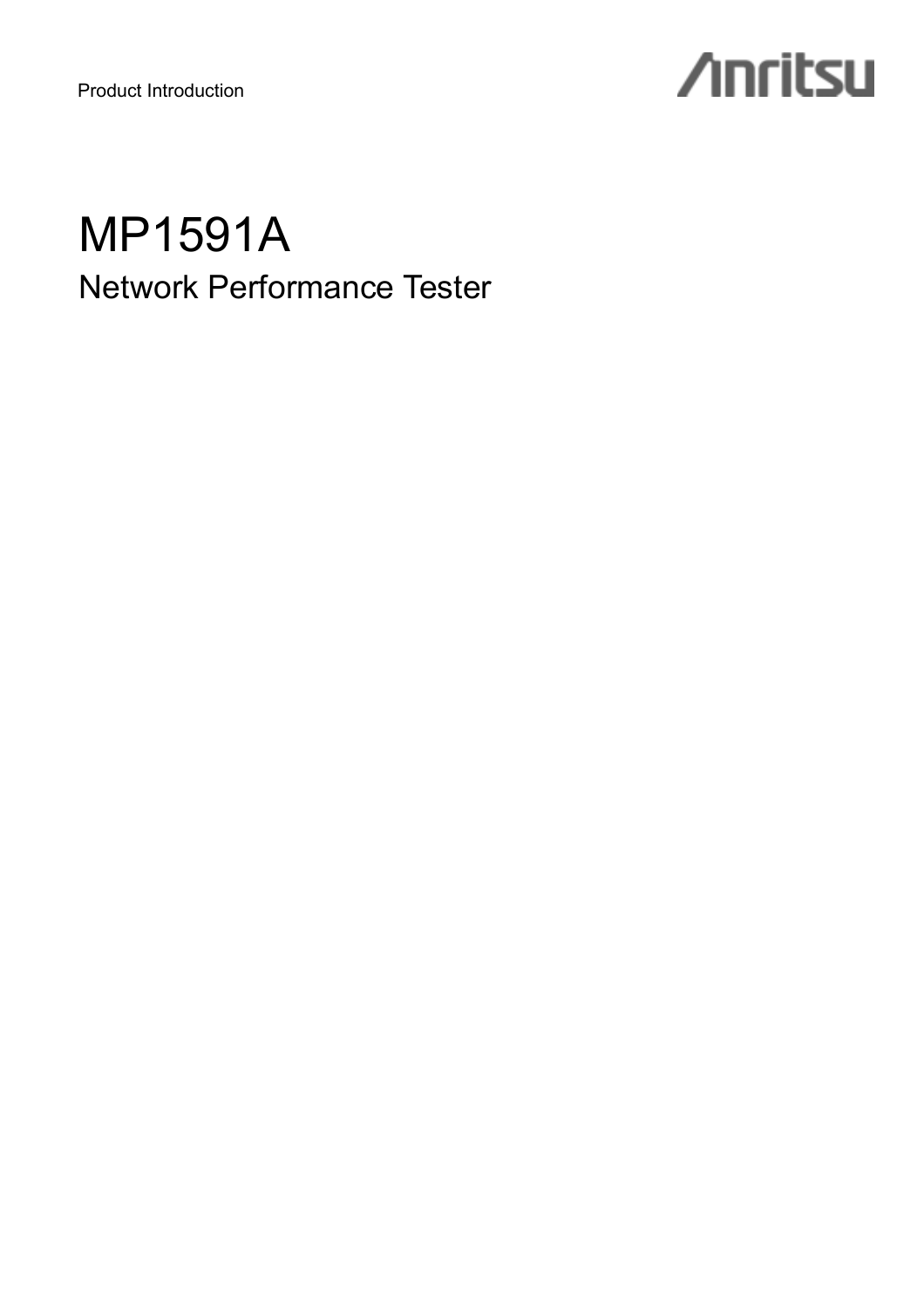Product Introduction

# **/inritsu**

## MP1591A Network Performance Tester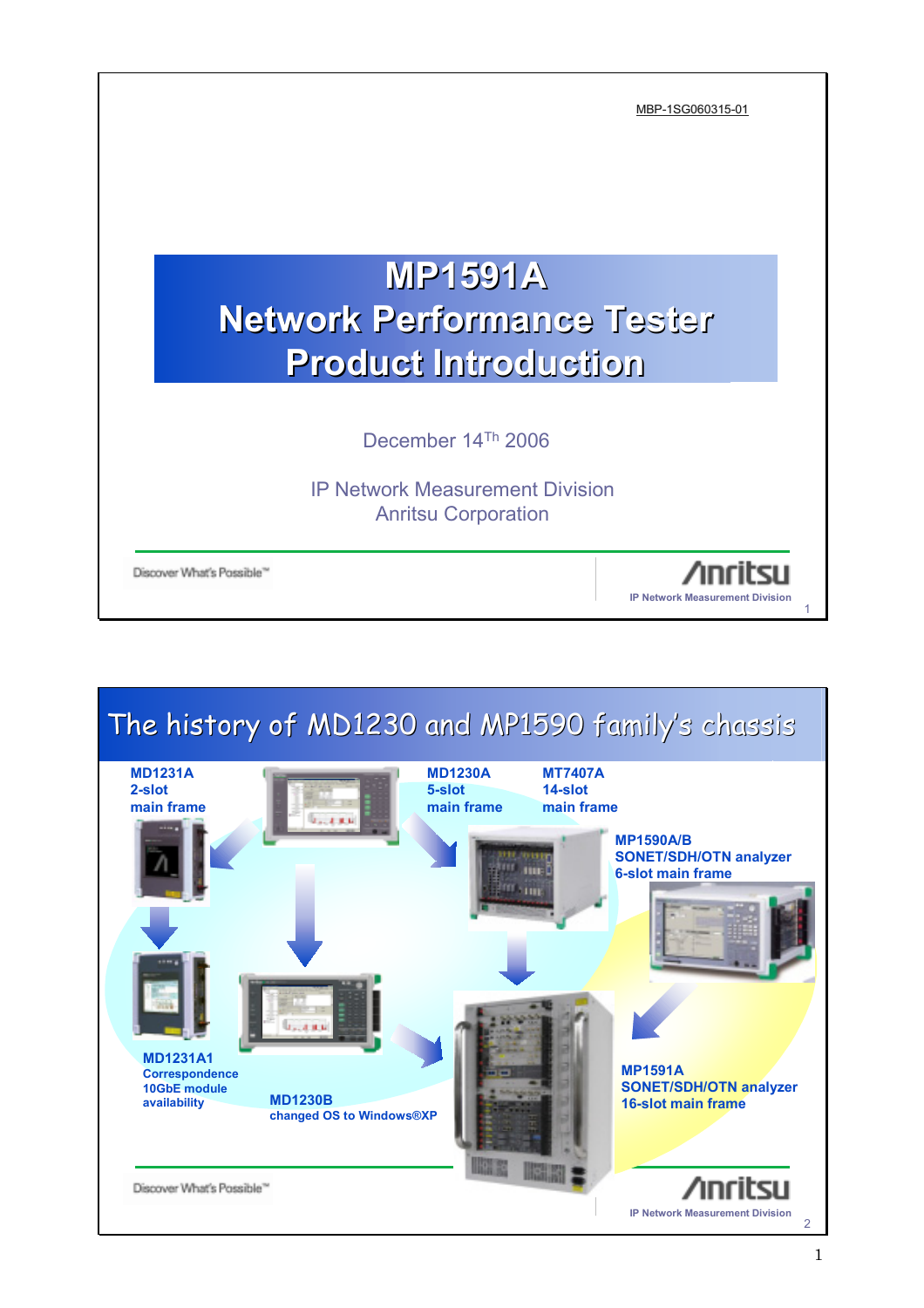

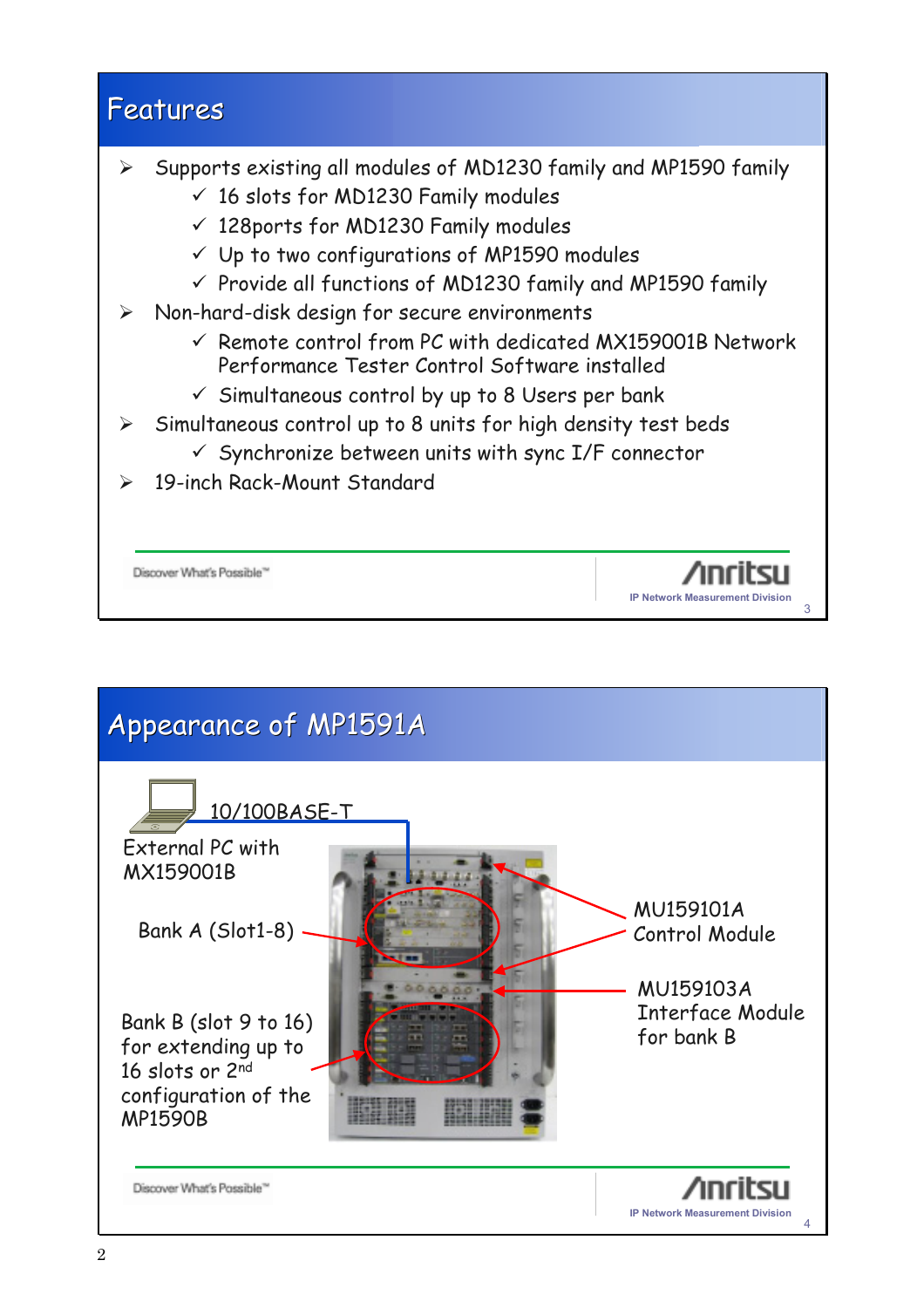#### Features

- ¾ Supports existing all modules of MD1230 family and MP1590 family
	- $\checkmark$  16 slots for MD1230 Family modules
	- $\checkmark$  128ports for MD1230 Family modules
	- $\checkmark$  Up to two configurations of MP1590 modules
	- $\checkmark$  Provide all functions of MD1230 family and MP1590 family
- $\triangleright$  Non-hard-disk design for secure environments
	- $\checkmark$  Remote control from PC with dedicated MX159001B Network Performance Tester Control Software installed

3

**IP Network Measurement Division**

∕ınrihs⊔

- $\checkmark$  Simultaneous control by up to 8 Users per bank
- $\geq$  Simultaneous control up to 8 units for high density test beds
	- $\checkmark$  Synchronize between units with sync I/F connector
- 19-inch Rack-Mount Standard

Discover What's Possible<sup>16</sup>

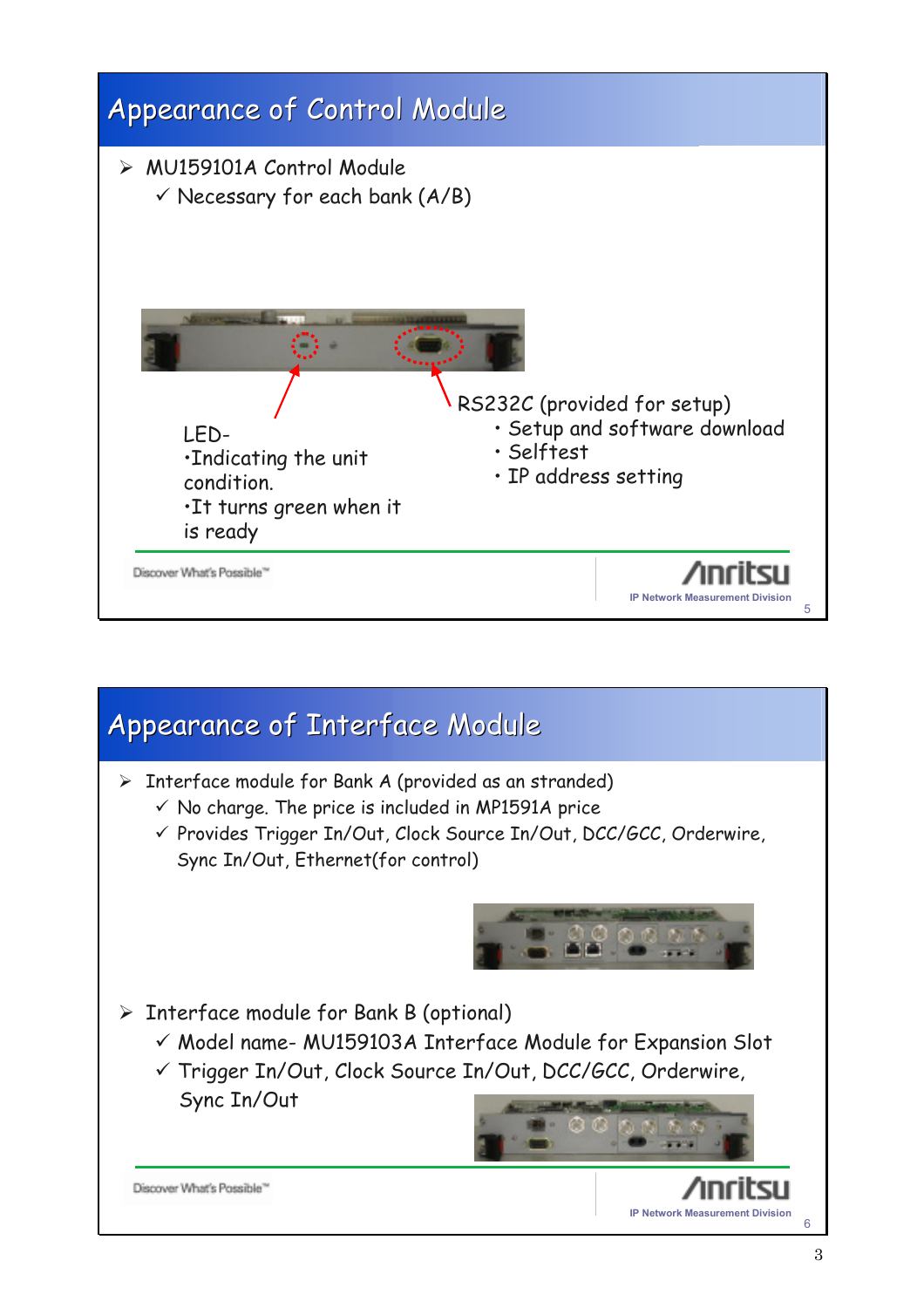

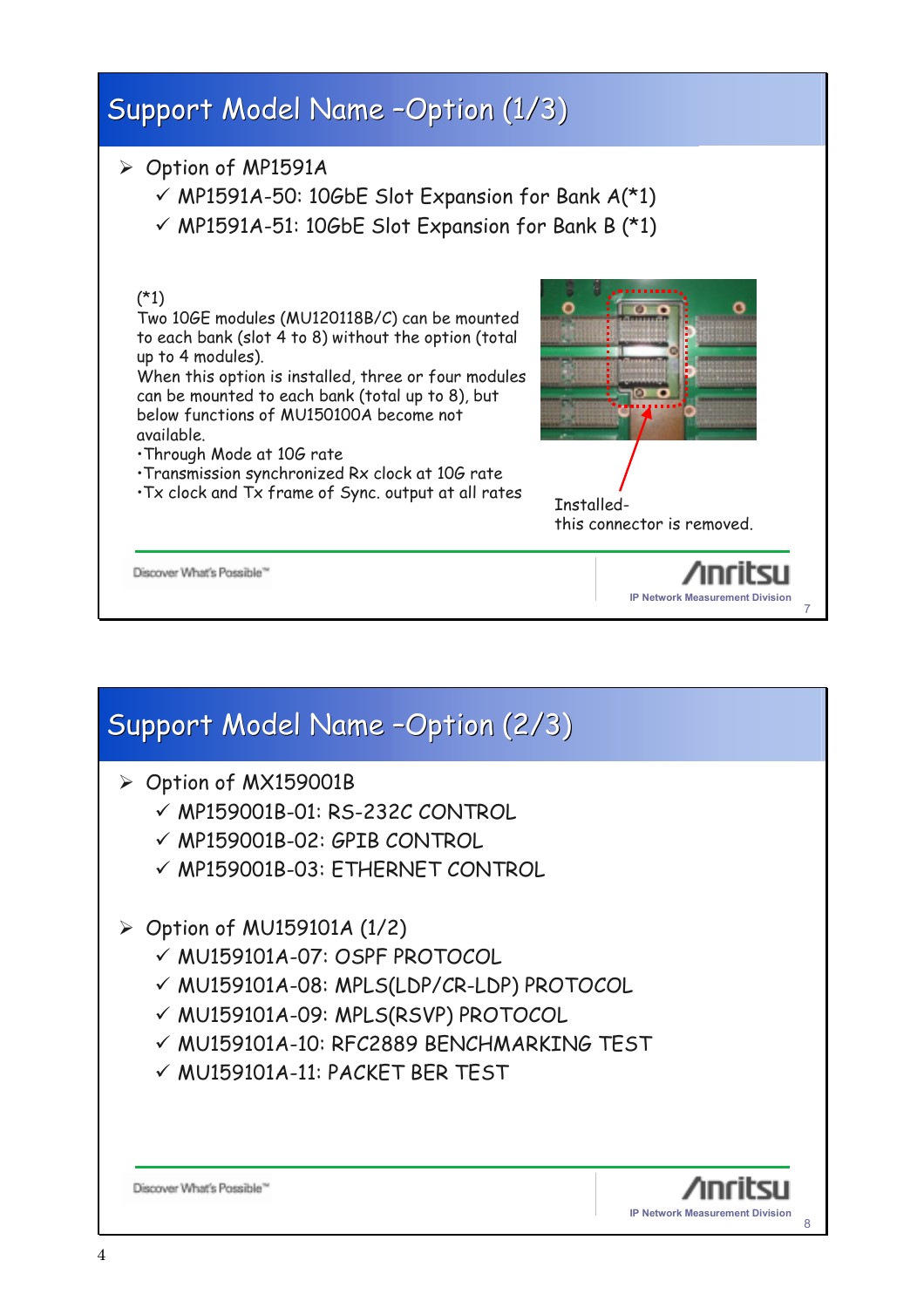

#### Support Model Name -Option (2/3) ¾ Option of MX159001B  $\nu$  MP159001B-01: RS-232C CONTROL  $\nu$  MP159001B-02: GPIB CONTROL  $\checkmark$  MP159001B-03: ETHERNET CONTROL  $\triangleright$  Option of MU159101A (1/2)  $\checkmark$  MU159101A-07: OSPF PROTOCOL 9 MU159101A-08: MPLS(LDP/CR-LDP) PROTOCOL √ MU159101A-09: MPLS(RSVP) PROTOCOL 9 MU159101A-10: RFC2889 BENCHMARKING TEST  $V$  MU159101A-11: PACKET BER TEST Discover What's Possible" **IP Network Measurement Division** 8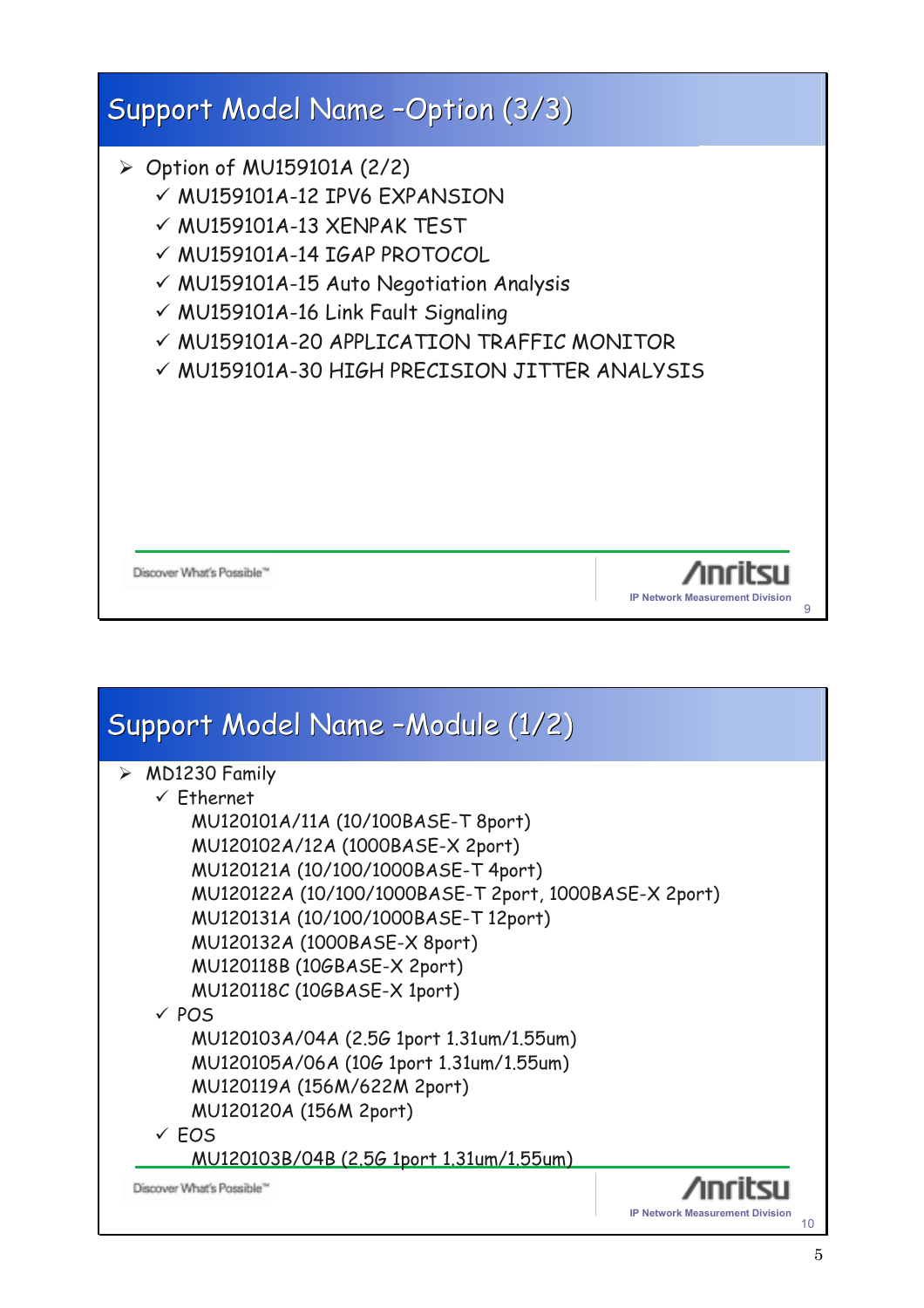

| Support Model Name -Module (1/2)                        |                                              |
|---------------------------------------------------------|----------------------------------------------|
| $\triangleright$ MD1230 Family<br>$\checkmark$ Ethernet |                                              |
| MU120101A/11A (10/100BASE-T 8port)                      |                                              |
| MU120102A/12A (1000BASE-X 2port)                        |                                              |
| MU120121A (10/100/1000BASE-T 4port)                     |                                              |
| MU120122A (10/100/1000BASE-T 2port, 1000BASE-X 2port)   |                                              |
| MU120131A (10/100/1000BASE-T 12port)                    |                                              |
| MU120132A (1000BASE-X 8port)                            |                                              |
| MU120118B (10GBASE-X 2port)                             |                                              |
| MU120118C (10GBASE-X 1port)                             |                                              |
| $\times$ POS                                            |                                              |
| MU120103A/04A (2.56 1port 1.31um/1.55um)                |                                              |
| MU120105A/06A (10G 1port 1.31um/1.55um)                 |                                              |
| MU120119A (156M/622M 2port)                             |                                              |
| MU120120A (156M 2port)                                  |                                              |
| $\times$ EOS                                            |                                              |
| MU120103B/04B (2.5G 1port 1.31um/1.55um)                |                                              |
| Discover What's Possible <sup>®</sup>                   |                                              |
|                                                         | <b>IP Network Measurement Division</b><br>10 |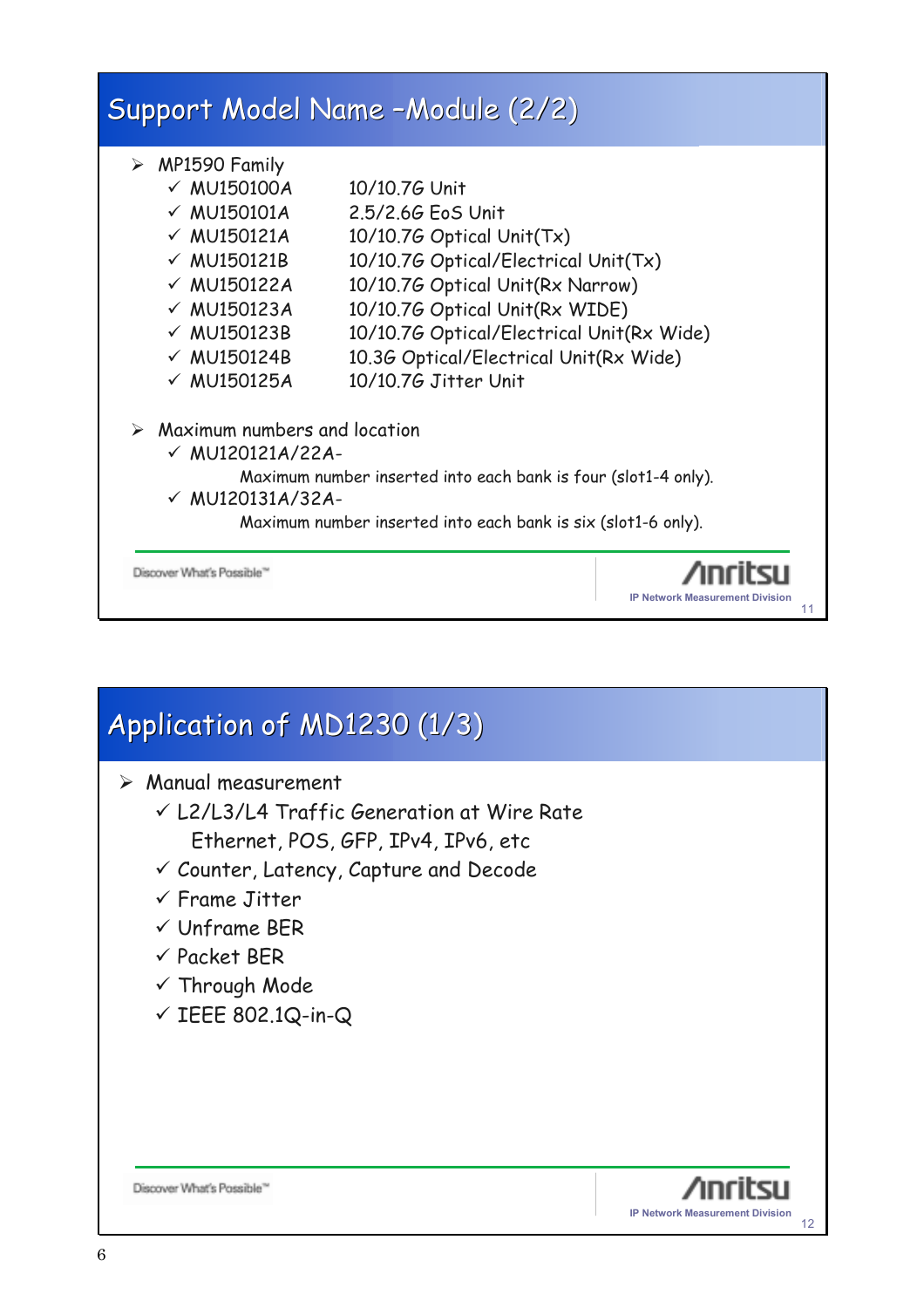

### Application of MD1230 (1/3)  $\triangleright$  Manual measurement  $V$  L2/L3/L4 Traffic Generation at Wire Rate Ethernet, POS, GFP, IPv4, IPv6, etc  $\checkmark$  Counter, Latency, Capture and Decode  $\checkmark$  Frame Jitter  $\checkmark$  Unframe BFR  $\checkmark$  Packet BER  $\checkmark$  Through Mode  $\checkmark$  IEEE 802.1Q-in-Q Discover What's Possible" **IP Network Measurement Division** 12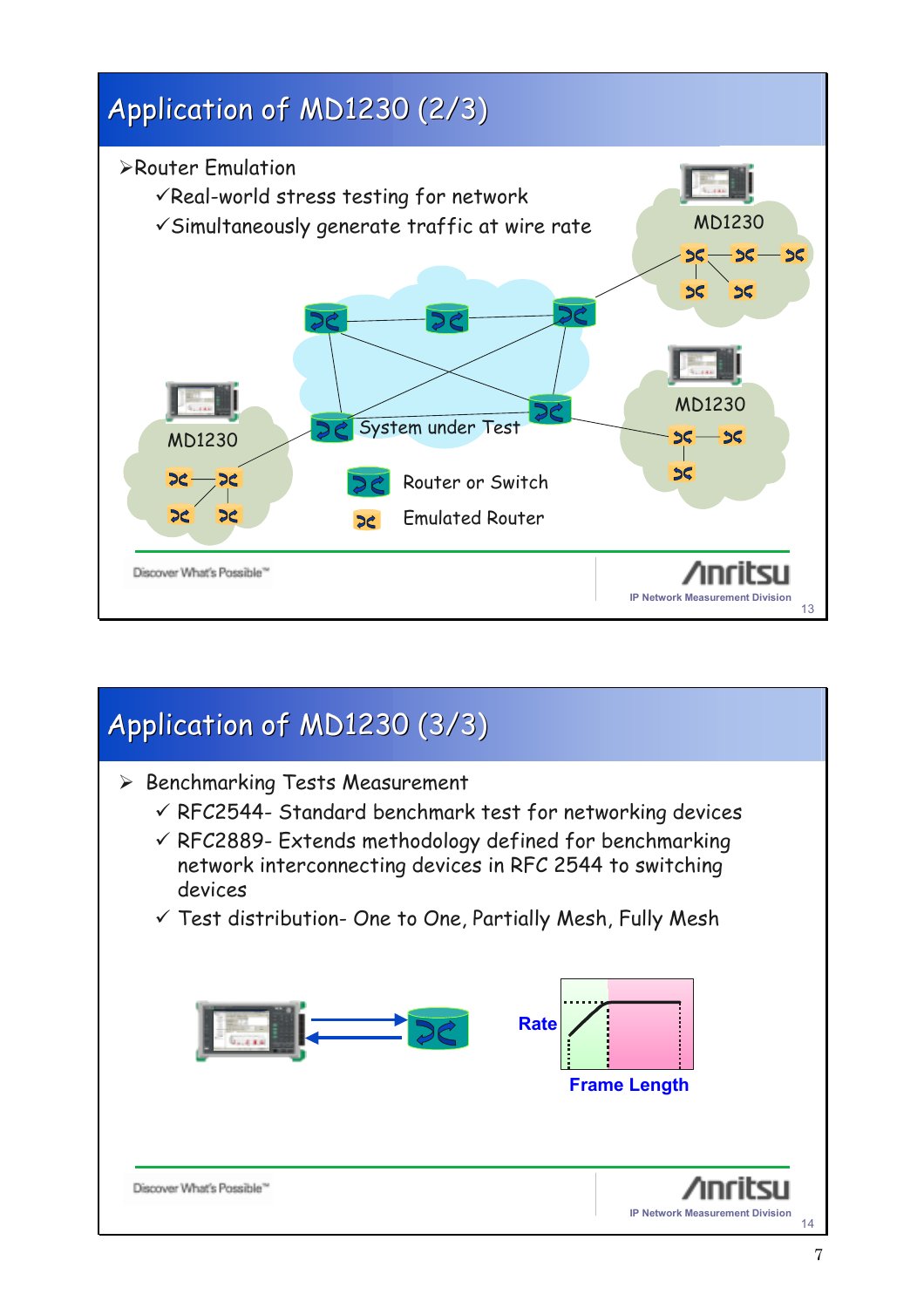

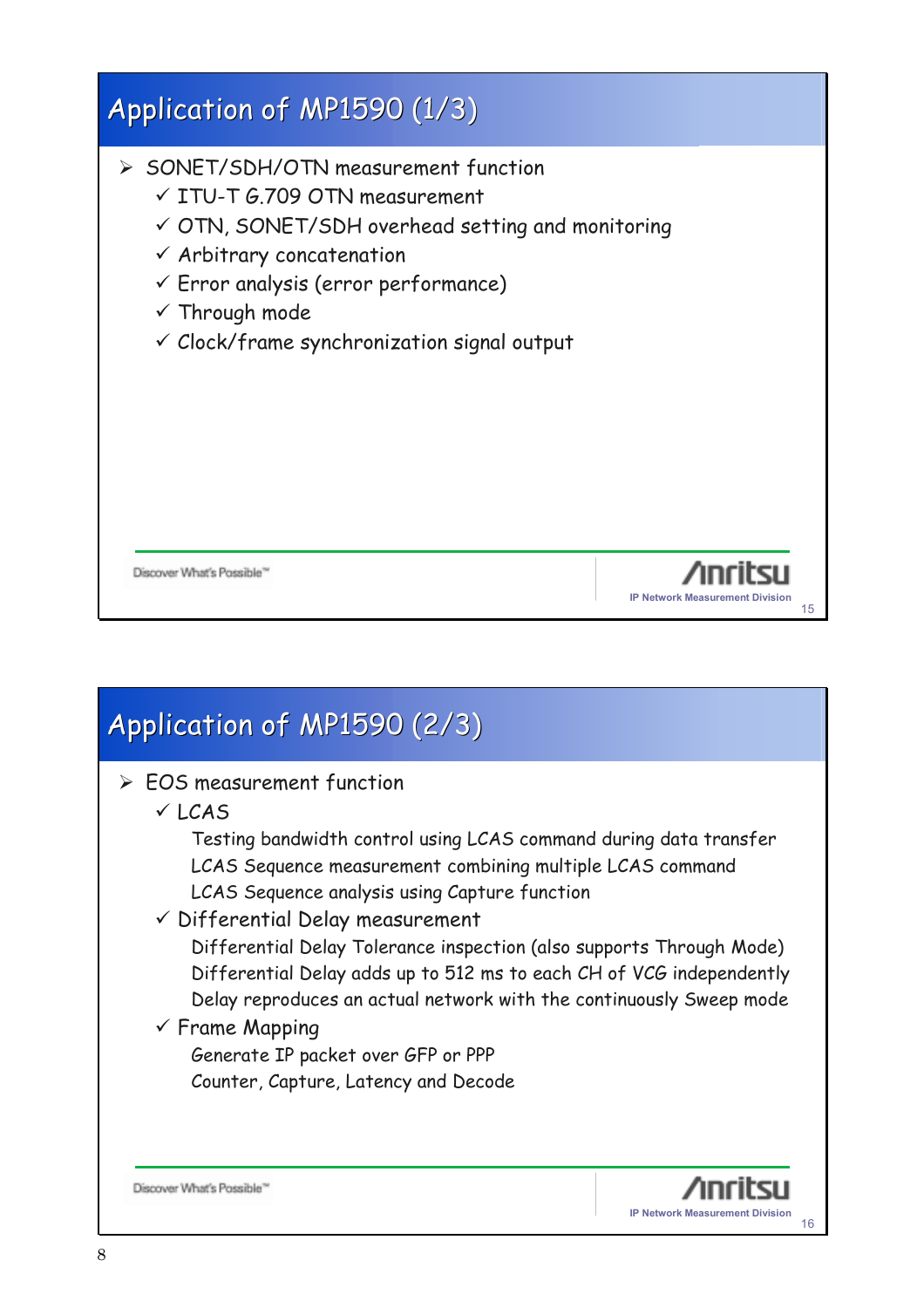| Application of MP1590 (1/3)                                                                                                                                                                                                                                                                                                       |                                              |
|-----------------------------------------------------------------------------------------------------------------------------------------------------------------------------------------------------------------------------------------------------------------------------------------------------------------------------------|----------------------------------------------|
| $\triangleright$ SONET/SDH/OTN measurement function<br>$\times$ ITU-T G.709 OTN measurement<br>√ OTN, SONET/SDH overhead setting and monitoring<br>$\checkmark$ Arbitrary concatenation<br>$\checkmark$ Error analysis (error performance)<br>$\checkmark$ Through mode<br>$\checkmark$ Clock/frame synchronization signal output |                                              |
| Discover What's Possible                                                                                                                                                                                                                                                                                                          | <b>IP Network Measurement Division</b><br>15 |

### Application of MP1590 (2/3)

- $\geq$  EOS measurement function
	- $V$  LCAS

Testing bandwidth control using LCAS command during data transfer LCAS Sequence measurement combining multiple LCAS command LCAS Sequence analysis using Capture function

 $\checkmark$  Differential Delay measurement

Differential Delay Tolerance inspection (also supports Through Mode) Differential Delay adds up to 512 ms to each CH of VCG independently Delay reproduces an actual network with the continuously Sweep mode

#### $\checkmark$  Frame Mapping

Generate IP packet over GFP or PPP Counter, Capture, Latency and Decode

Discover What's Possible"

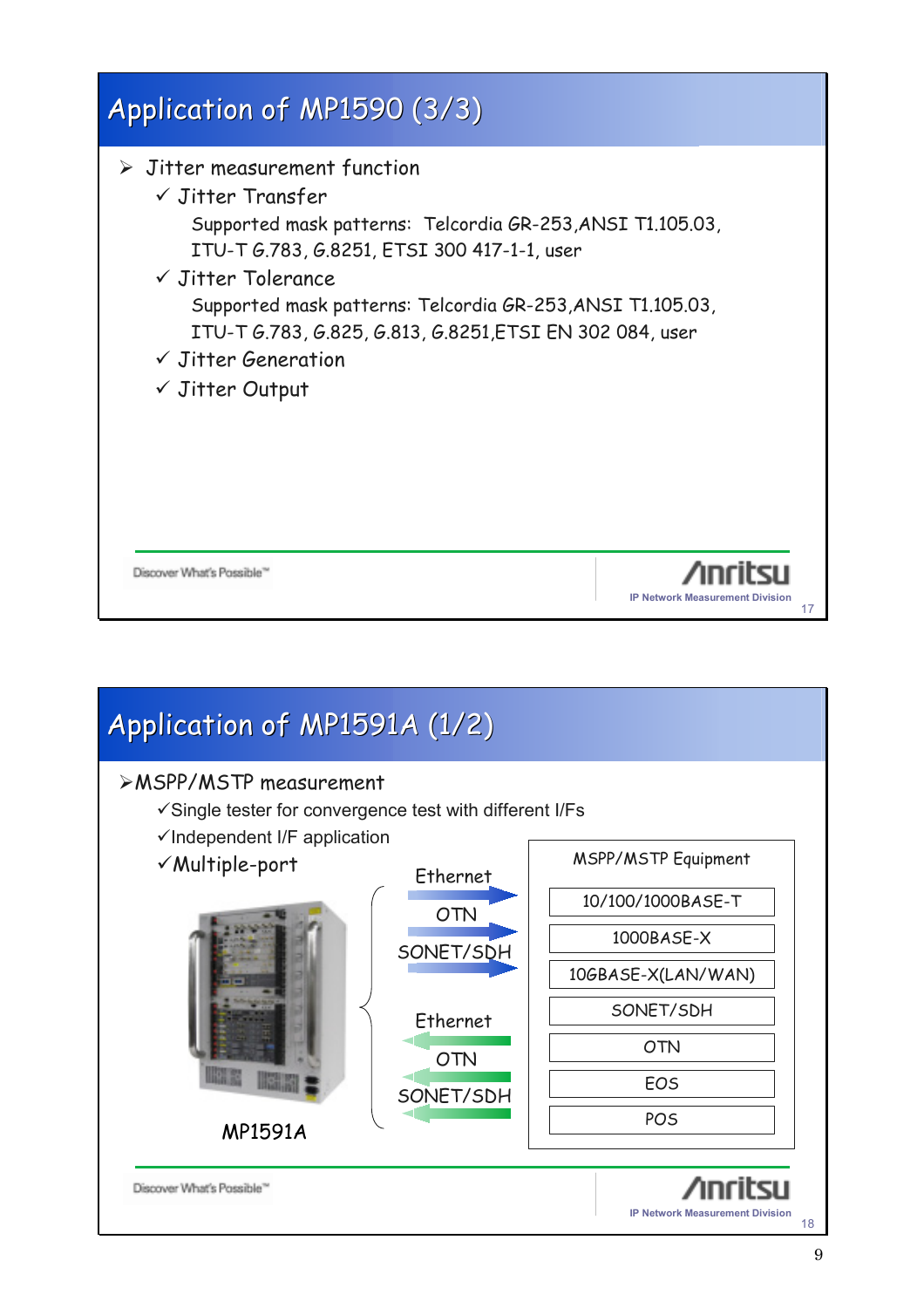

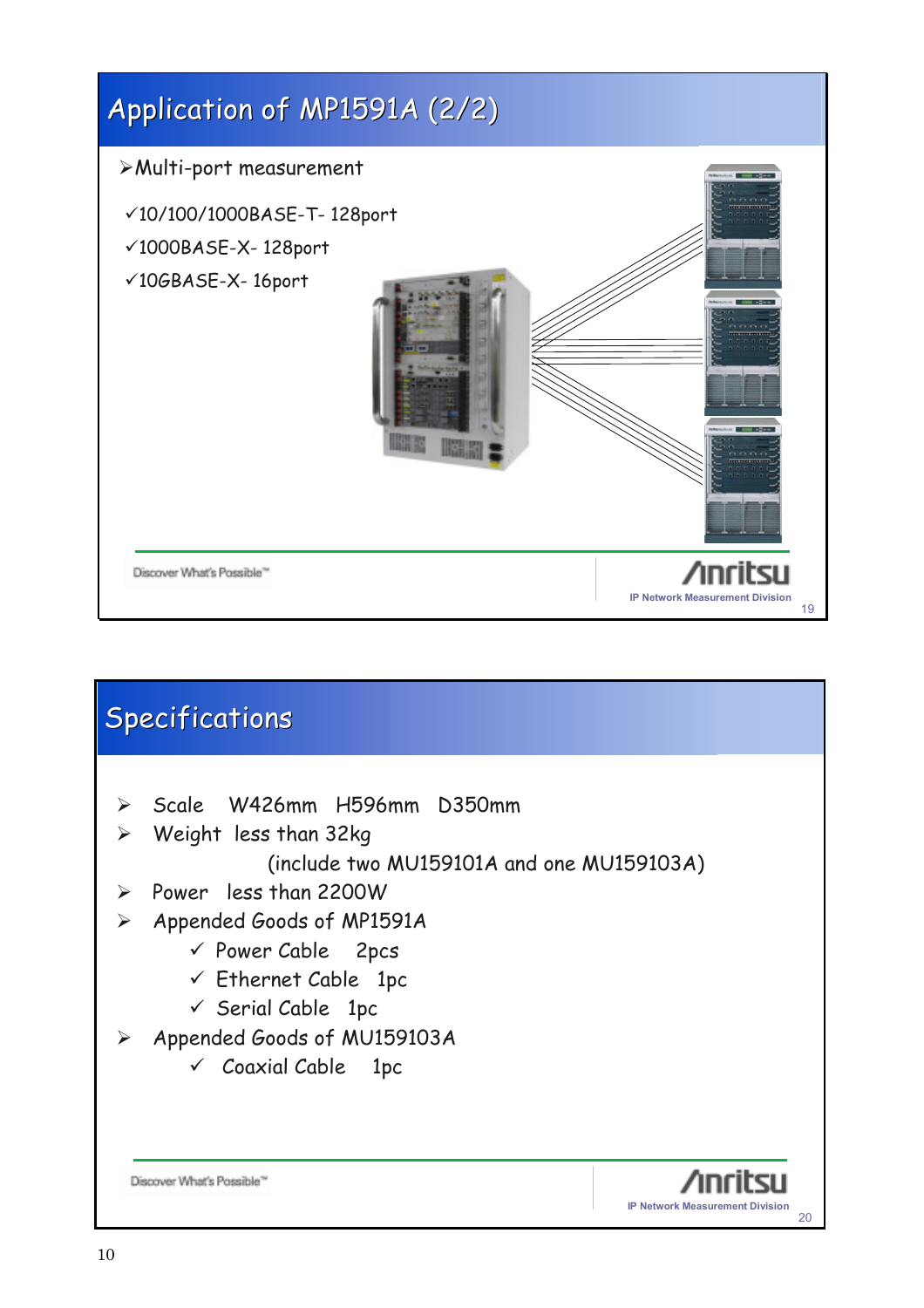

|                       | <b>Specifications</b>                        |
|-----------------------|----------------------------------------------|
|                       |                                              |
| $\blacktriangleright$ | Scale W426mm H596mm D350mm                   |
| ➤                     | Weight less than 32kg                        |
|                       | (include two MU159101A and one MU159103A)    |
| $\blacktriangleright$ | Power less than 2200W                        |
| $\blacktriangleright$ | Appended Goods of MP1591A                    |
|                       | $\checkmark$ Power Cable 2pcs                |
|                       | $\checkmark$ Ethernet Cable 1pc              |
|                       | $\checkmark$ Serial Cable 1pc                |
| ➤                     | Appended Goods of MU159103A                  |
|                       | $\checkmark$ Coaxial Cable 1pc               |
|                       |                                              |
|                       |                                              |
|                       |                                              |
|                       | Discover What's Possible'                    |
|                       | <b>IP Network Measurement Division</b><br>20 |